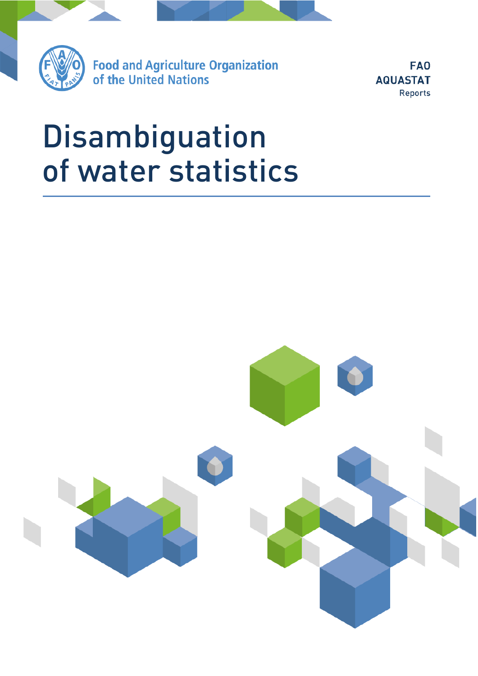

**Food and Agriculture Organization** of the United Nations

**FAO AQUASTAT** Reports

# Disambiguation<br>of water statistics of water statistics water statistics water statistics

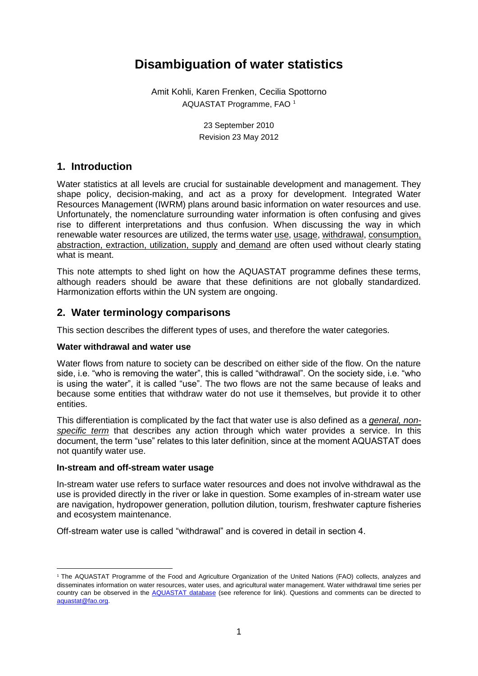# **Disambiguation of water statistics**

Amit Kohli, Karen Frenken, Cecilia Spottorno AQUASTAT Programme, FAO <sup>1</sup>

> 23 September 2010 Revision 23 May 2012

# **1. Introduction**

Water statistics at all levels are crucial for sustainable development and management. They shape policy, decision-making, and act as a proxy for development. Integrated Water Resources Management (IWRM) plans around basic information on water resources and use. Unfortunately, the nomenclature surrounding water information is often confusing and gives rise to different interpretations and thus confusion. When discussing the way in which renewable water resources are utilized, the terms water use, usage, withdrawal, consumption, abstraction, extraction, utilization, supply and demand are often used without clearly stating what is meant.

This note attempts to shed light on how the AQUASTAT programme defines these terms, although readers should be aware that these definitions are not globally standardized. Harmonization efforts within the UN system are ongoing.

# **2. Water terminology comparisons**

This section describes the different types of uses, and therefore the water categories.

# **Water withdrawal and water use**

Water flows from nature to society can be described on either side of the flow. On the nature side, i.e. "who is removing the water", this is called "withdrawal". On the society side, i.e. "who is using the water", it is called "use". The two flows are not the same because of leaks and because some entities that withdraw water do not use it themselves, but provide it to other entities.

This differentiation is complicated by the fact that water use is also defined as a *general, nonspecific term* that describes any action through which water provides a service. In this document, the term "use" relates to this later definition, since at the moment AQUASTAT does not quantify water use.

# **In-stream and off-stream water usage**

In-stream water use refers to surface water resources and does not involve withdrawal as the use is provided directly in the river or lake in question. Some examples of in-stream water use are navigation, hydropower generation, pollution dilution, tourism, freshwater capture fisheries and ecosystem maintenance.

Off-stream water use is called "withdrawal" and is covered in detail in section 4.

 $\overline{\phantom{a}}$ <sup>1</sup> The AQUASTAT Programme of the Food and Agriculture Organization of the United Nations (FAO) collects, analyzes and disseminates information on water resources, water uses, and agricultural water management. Water withdrawal time series per country can be observed in the [AQUASTAT database](http://www.fao.org/nr/water/aquastat/data/query/index.html?lang=en) (see reference for link). Questions and comments can be directed to [aquastat@fao.org.](mailto:aquastat@fao.org)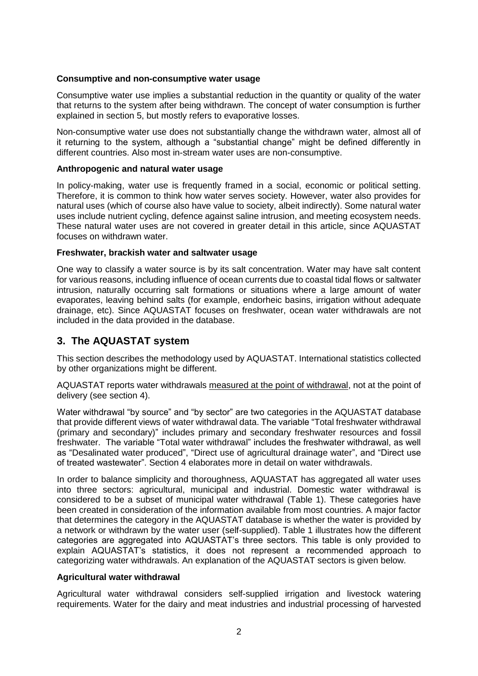# **Consumptive and non-consumptive water usage**

Consumptive water use implies a substantial reduction in the quantity or quality of the water that returns to the system after being withdrawn. The concept of water consumption is further explained in section 5, but mostly refers to evaporative losses.

Non-consumptive water use does not substantially change the withdrawn water, almost all of it returning to the system, although a "substantial change" might be defined differently in different countries. Also most in-stream water uses are non-consumptive.

### **Anthropogenic and natural water usage**

In policy-making, water use is frequently framed in a social, economic or political setting. Therefore, it is common to think how water serves society. However, water also provides for natural uses (which of course also have value to society, albeit indirectly). Some natural water uses include nutrient cycling, defence against saline intrusion, and meeting ecosystem needs. These natural water uses are not covered in greater detail in this article, since AQUASTAT focuses on withdrawn water.

### **Freshwater, brackish water and saltwater usage**

One way to classify a water source is by its salt concentration. Water may have salt content for various reasons, including influence of ocean currents due to coastal tidal flows or saltwater intrusion, naturally occurring salt formations or situations where a large amount of water evaporates, leaving behind salts (for example, endorheic basins, irrigation without adequate drainage, etc). Since AQUASTAT focuses on freshwater, ocean water withdrawals are not included in the data provided in the database.

# **3. The AQUASTAT system**

This section describes the methodology used by AQUASTAT. International statistics collected by other organizations might be different.

AQUASTAT reports water withdrawals measured at the point of withdrawal, not at the point of delivery (see section 4).

Water withdrawal "by source" and "by sector" are two categories in the AQUASTAT database that provide different views of water withdrawal data. The variable "Total freshwater withdrawal (primary and secondary)" includes primary and secondary freshwater resources and fossil freshwater. The variable "Total water withdrawal" includes the freshwater withdrawal, as well as "Desalinated water produced", "Direct use of agricultural drainage water", and "Direct use of treated wastewater". Section 4 elaborates more in detail on water withdrawals.

In order to balance simplicity and thoroughness, AQUASTAT has aggregated all water uses into three sectors: agricultural, municipal and industrial. Domestic water withdrawal is considered to be a subset of municipal water withdrawal (Table 1). These categories have been created in consideration of the information available from most countries. A major factor that determines the category in the AQUASTAT database is whether the water is provided by a network or withdrawn by the water user (self-supplied). Table 1 illustrates how the different categories are aggregated into AQUASTAT's three sectors. This table is only provided to explain AQUASTAT's statistics, it does not represent a recommended approach to categorizing water withdrawals. An explanation of the AQUASTAT sectors is given below.

### **Agricultural water withdrawal**

Agricultural water withdrawal considers self-supplied irrigation and livestock watering requirements. Water for the dairy and meat industries and industrial processing of harvested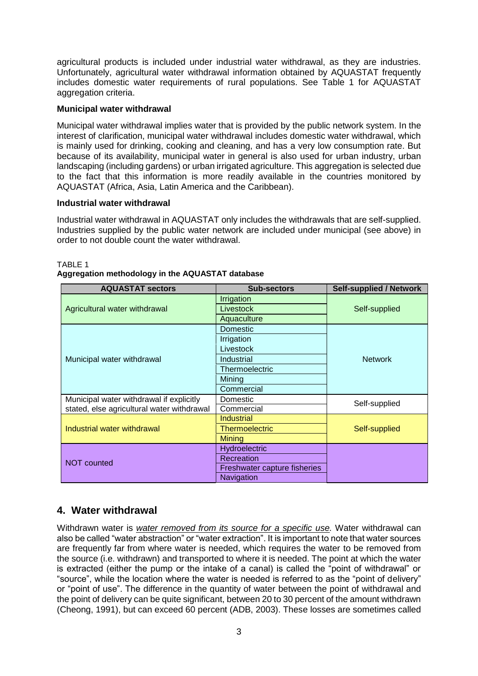agricultural products is included under industrial water withdrawal, as they are industries. Unfortunately, agricultural water withdrawal information obtained by AQUASTAT frequently includes domestic water requirements of rural populations. See Table 1 for AQUASTAT aggregation criteria.

# **Municipal water withdrawal**

Municipal water withdrawal implies water that is provided by the public network system. In the interest of clarification, municipal water withdrawal includes domestic water withdrawal, which is mainly used for drinking, cooking and cleaning, and has a very low consumption rate. But because of its availability, municipal water in general is also used for urban industry, urban landscaping (including gardens) or urban irrigated agriculture. This aggregation is selected due to the fact that this information is more readily available in the countries monitored by AQUASTAT (Africa, Asia, Latin America and the Caribbean).

# **Industrial water withdrawal**

Industrial water withdrawal in AQUASTAT only includes the withdrawals that are self-supplied. Industries supplied by the public water network are included under municipal (see above) in order to not double count the water withdrawal.

| <b>AQUASTAT sectors</b>                    | <b>Sub-sectors</b>           | <b>Self-supplied / Network</b> |
|--------------------------------------------|------------------------------|--------------------------------|
| Agricultural water withdrawal              | Irrigation                   | Self-supplied                  |
|                                            | Livestock                    |                                |
|                                            | Aquaculture                  |                                |
| Municipal water withdrawal                 | Domestic                     | <b>Network</b>                 |
|                                            | Irrigation                   |                                |
|                                            | Livestock                    |                                |
|                                            | Industrial                   |                                |
|                                            | Thermoelectric               |                                |
|                                            | Mining                       |                                |
|                                            | Commercial                   |                                |
| Municipal water withdrawal if explicitly   | Domestic                     | Self-supplied                  |
| stated, else agricultural water withdrawal | Commercial                   |                                |
| Industrial water withdrawal                | Industrial                   | Self-supplied                  |
|                                            | <b>Thermoelectric</b>        |                                |
|                                            | Mining                       |                                |
| <b>NOT counted</b>                         | Hydroelectric                |                                |
|                                            | Recreation                   |                                |
|                                            | Freshwater capture fisheries |                                |
|                                            | Navigation                   |                                |

# TABLE 1

# **Aggregation methodology in the AQUASTAT database**

# **4. Water withdrawal**

Withdrawn water is *water removed from its source for a specific use.* Water withdrawal can also be called "water abstraction" or "water extraction". It is important to note that water sources are frequently far from where water is needed, which requires the water to be removed from the source (i.e. withdrawn) and transported to where it is needed. The point at which the water is extracted (either the pump or the intake of a canal) is called the "point of withdrawal" or "source", while the location where the water is needed is referred to as the "point of delivery" or "point of use". The difference in the quantity of water between the point of withdrawal and the point of delivery can be quite significant, between 20 to 30 percent of the amount withdrawn (Cheong, 1991), but can exceed 60 percent (ADB, 2003). These losses are sometimes called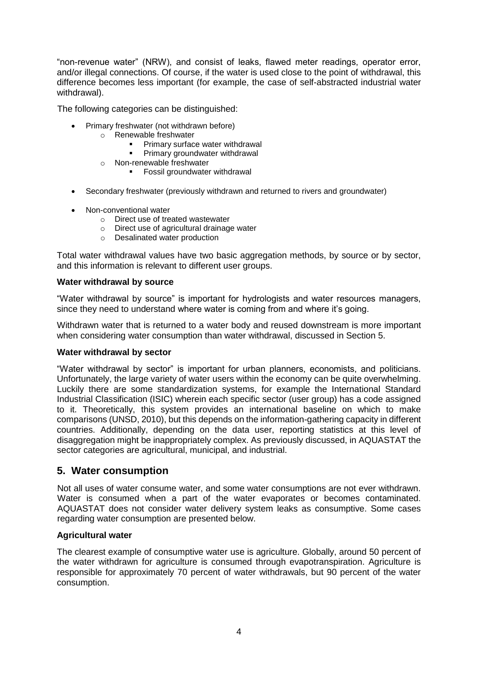"non-revenue water" (NRW), and consist of leaks, flawed meter readings, operator error, and/or illegal connections. Of course, if the water is used close to the point of withdrawal, this difference becomes less important (for example, the case of self-abstracted industrial water withdrawal).

The following categories can be distinguished:

- Primary freshwater (not withdrawn before)
	- o Renewable freshwater
		- **Primary surface water withdrawal**
		- **Primary groundwater withdrawal**
		- o Non-renewable freshwater
			- **Fossil groundwater withdrawal**
- Secondary freshwater (previously withdrawn and returned to rivers and groundwater)
- Non-conventional water
	- o Direct use of treated wastewater
	- o Direct use of agricultural drainage water
	- o Desalinated water production

Total water withdrawal values have two basic aggregation methods, by source or by sector, and this information is relevant to different user groups.

# **Water withdrawal by source**

"Water withdrawal by source" is important for hydrologists and water resources managers, since they need to understand where water is coming from and where it's going.

Withdrawn water that is returned to a water body and reused downstream is more important when considering water consumption than water withdrawal, discussed in Section 5.

# **Water withdrawal by sector**

"Water withdrawal by sector" is important for urban planners, economists, and politicians. Unfortunately, the large variety of water users within the economy can be quite overwhelming. Luckily there are some standardization systems, for example the International Standard Industrial Classification (ISIC) wherein each specific sector (user group) has a code assigned to it. Theoretically, this system provides an international baseline on which to make comparisons (UNSD, 2010), but this depends on the information-gathering capacity in different countries. Additionally, depending on the data user, reporting statistics at this level of disaggregation might be inappropriately complex. As previously discussed, in AQUASTAT the sector categories are agricultural, municipal, and industrial.

# **5. Water consumption**

Not all uses of water consume water, and some water consumptions are not ever withdrawn. Water is consumed when a part of the water evaporates or becomes contaminated. AQUASTAT does not consider water delivery system leaks as consumptive. Some cases regarding water consumption are presented below.

# **Agricultural water**

The clearest example of consumptive water use is agriculture. Globally, around 50 percent of the water withdrawn for agriculture is consumed through evapotranspiration. Agriculture is responsible for approximately 70 percent of water withdrawals, but 90 percent of the water consumption.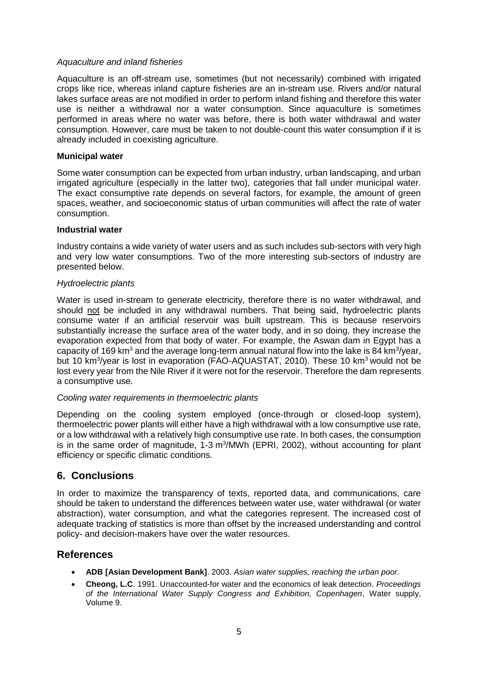### *Aquaculture and inland fisheries*

Aquaculture is an off-stream use, sometimes (but not necessarily) combined with irrigated crops like rice, whereas inland capture fisheries are an in-stream use. Rivers and/or natural lakes surface areas are not modified in order to perform inland fishing and therefore this water use is neither a withdrawal nor a water consumption. Since aquaculture is sometimes performed in areas where no water was before, there is both water withdrawal and water consumption. However, care must be taken to not double-count this water consumption if it is already included in coexisting agriculture.

### **Municipal water**

Some water consumption can be expected from urban industry, urban landscaping, and urban irrigated agriculture (especially in the latter two), categories that fall under municipal water. The exact consumptive rate depends on several factors, for example, the amount of green spaces, weather, and socioeconomic status of urban communities will affect the rate of water consumption.

### **Industrial water**

Industry contains a wide variety of water users and as such includes sub-sectors with very high and very low water consumptions. Two of the more interesting sub-sectors of industry are presented below.

# *Hydroelectric plants*

Water is used in-stream to generate electricity, therefore there is no water withdrawal, and should not be included in any withdrawal numbers. That being said, hydroelectric plants consume water if an artificial reservoir was built upstream. This is because reservoirs substantially increase the surface area of the water body, and in so doing, they increase the evaporation expected from that body of water. For example, the Aswan dam in Egypt has a capacity of 169 km<sup>3</sup> and the average long-term annual natural flow into the lake is 84 km<sup>3</sup>/year, but 10 km<sup>3</sup>/year is lost in evaporation (FAO-AQUASTAT, 2010). These 10 km<sup>3</sup> would not be lost every year from the Nile River if it were not for the reservoir. Therefore the dam represents a consumptive use.

# *Cooling water requirements in thermoelectric plants*

Depending on the cooling system employed (once-through or closed-loop system), thermoelectric power plants will either have a high withdrawal with a low consumptive use rate, or a low withdrawal with a relatively high consumptive use rate. In both cases, the consumption is in the same order of magnitude, 1-3 m<sup>3</sup>/MWh (EPRI, 2002), without accounting for plant efficiency or specific climatic conditions.

# **6. Conclusions**

In order to maximize the transparency of texts, reported data, and communications, care should be taken to understand the differences between water use, water withdrawal (or water abstraction), water consumption, and what the categories represent. The increased cost of adequate tracking of statistics is more than offset by the increased understanding and control policy- and decision-makers have over the water resources.

# **References**

- **ADB [Asian Development Bank]**. 2003. *Asian water supplies, reaching the urban poor.*
- **Cheong, L.C**. 1991. Unaccounted-for water and the economics of leak detection. *Proceedings of the International Water Supply Congress and Exhibition, Copenhagen*, Water supply, Volume 9.